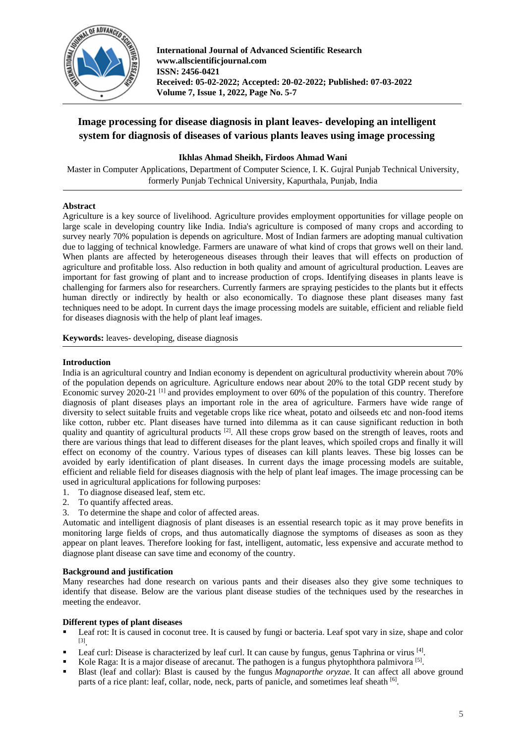

**International Journal of Advanced Scientific Research www.allscientificjournal.com ISSN: 2456-0421 Received: 05-02-2022; Accepted: 20-02-2022; Published: 07-03-2022 Volume 7, Issue 1, 2022, Page No. 5-7**

# **Image processing for disease diagnosis in plant leaves- developing an intelligent system for diagnosis of diseases of various plants leaves using image processing**

## **Ikhlas Ahmad Sheikh, Firdoos Ahmad Wani**

Master in Computer Applications, Department of Computer Science, I. K. Gujral Punjab Technical University, formerly Punjab Technical University, Kapurthala, Punjab, India

## **Abstract**

Agriculture is a key source of livelihood. Agriculture provides employment opportunities for village people on large scale in developing country like India. India's agriculture is composed of many crops and according to survey nearly 70% population is depends on agriculture. Most of Indian farmers are adopting manual cultivation due to lagging of technical knowledge. Farmers are unaware of what kind of crops that grows well on their land. When plants are affected by heterogeneous diseases through their leaves that will effects on production of agriculture and profitable loss. Also reduction in both quality and amount of agricultural production. Leaves are important for fast growing of plant and to increase production of crops. Identifying diseases in plants leave is challenging for farmers also for researchers. Currently farmers are spraying pesticides to the plants but it effects human directly or indirectly by health or also economically. To diagnose these plant diseases many fast techniques need to be adopt. In current days the image processing models are suitable, efficient and reliable field for diseases diagnosis with the help of plant leaf images.

**Keywords:** leaves- developing, disease diagnosis

## **Introduction**

India is an agricultural country and Indian economy is dependent on agricultural productivity wherein about 70% of the population depends on agriculture. Agriculture endows near about 20% to the total GDP recent study by Economic survey 2020-21 [1] and provides employment to over 60% of the population of this country. Therefore diagnosis of plant diseases plays an important role in the area of agriculture. Farmers have wide range of diversity to select suitable fruits and vegetable crops like rice wheat, potato and oilseeds etc and non-food items like cotton, rubber etc. Plant diseases have turned into dilemma as it can cause significant reduction in both quality and quantity of agricultural products<sup>[2]</sup>. All these crops grow based on the strength of leaves, roots and there are various things that lead to different diseases for the plant leaves, which spoiled crops and finally it will effect on economy of the country. Various types of diseases can kill plants leaves. These big losses can be avoided by early identification of plant diseases. In current days the image processing models are suitable, efficient and reliable field for diseases diagnosis with the help of plant leaf images. The image processing can be used in agricultural applications for following purposes:

- 1. To diagnose diseased leaf, stem etc.
- 2. To quantify affected areas.
- 3. To determine the shape and color of affected areas.

Automatic and intelligent diagnosis of plant diseases is an essential research topic as it may prove benefits in monitoring large fields of crops, and thus automatically diagnose the symptoms of diseases as soon as they appear on plant leaves. Therefore looking for fast, intelligent, automatic, less expensive and accurate method to diagnose plant disease can save time and economy of the country.

## **Background and justification**

Many researches had done research on various pants and their diseases also they give some techniques to identify that disease. Below are the various plant disease studies of the techniques used by the researches in meeting the endeavor.

## **Different types of plant diseases**

- Leaf rot: It is caused in coconut tree. It is caused by fungi or bacteria. Leaf spot vary in size, shape and color [3] .
- Leaf curl: Disease is characterized by leaf curl. It can cause by fungus, genus Taphrina or virus [4].
- Exercise Raga: It is a major disease of arecanut. The pathogen is a fungus phytophthora palmivora  $[5]$ .
- Blast (leaf and collar): Blast is caused by the fungus *Magnaporthe oryzae*. It can affect all above ground parts of a rice plant: leaf, collar, node, neck, parts of panicle, and sometimes leaf sheath [6].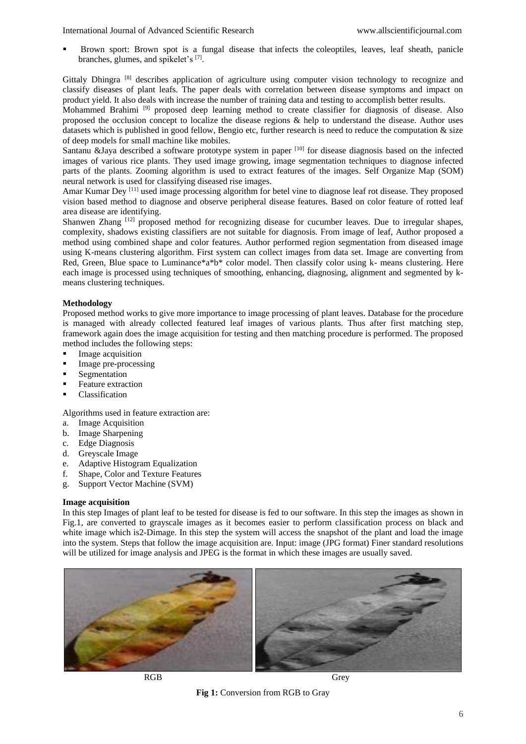Brown sport: Brown spot is a fungal disease that infects the coleoptiles, leaves, leaf sheath, panicle branches, glumes, and spikelet's [7].

Gittaly Dhingra <sup>[8]</sup> describes application of agriculture using computer vision technology to recognize and classify diseases of plant leafs. The paper deals with correlation between disease symptoms and impact on product yield. It also deals with increase the number of training data and testing to accomplish better results.

Mohammed Brahimi<sup>[9]</sup> proposed deep learning method to create classifier for diagnosis of disease. Also proposed the occlusion concept to localize the disease regions & help to understand the disease. Author uses datasets which is published in good fellow, Bengio etc, further research is need to reduce the computation  $\&$  size of deep models for small machine like mobiles.

Santanu &Jaya described a software prototype system in paper  $[10]$  for disease diagnosis based on the infected images of various rice plants. They used image growing, image segmentation techniques to diagnose infected parts of the plants. Zooming algorithm is used to extract features of the images. Self Organize Map (SOM) neural network is used for classifying diseased rise images.

Amar Kumar Dey <sup>[11]</sup> used image processing algorithm for betel vine to diagnose leaf rot disease. They proposed vision based method to diagnose and observe peripheral disease features. Based on color feature of rotted leaf area disease are identifying.

Shanwen Zhang [12] proposed method for recognizing disease for cucumber leaves. Due to irregular shapes, complexity, shadows existing classifiers are not suitable for diagnosis. From image of leaf, Author proposed a method using combined shape and color features. Author performed region segmentation from diseased image using K-means clustering algorithm. First system can collect images from data set. Image are converting from Red, Green, Blue space to Luminance\*a\*b\* color model. Then classify color using k- means clustering. Here each image is processed using techniques of smoothing, enhancing, diagnosing, alignment and segmented by kmeans clustering techniques.

## **Methodology**

Proposed method works to give more importance to image processing of plant leaves. Database for the procedure is managed with already collected featured leaf images of various plants. Thus after first matching step, framework again does the image acquisition for testing and then matching procedure is performed. The proposed method includes the following steps:

- Image acquisition
- Image pre-processing
- **Example 1** Segmentation
- **Feature extraction**
- Classification

Algorithms used in feature extraction are:

- a. Image Acquisition
- b. Image Sharpening
- c. Edge Diagnosis
- d. Greyscale Image
- e. Adaptive Histogram Equalization
- f. Shape, Color and Texture Features
- g. Support Vector Machine (SVM)

#### **Image acquisition**

In this step Images of plant leaf to be tested for disease is fed to our software. In this step the images as shown in Fig.1, are converted to grayscale images as it becomes easier to perform classification process on black and white image which is 2-Dimage. In this step the system will access the snapshot of the plant and load the image into the system. Steps that follow the image acquisition are. Input: image (JPG format) Finer standard resolutions will be utilized for image analysis and JPEG is the format in which these images are usually saved.



RGB Grey

**Fig 1:** Conversion from RGB to Gray